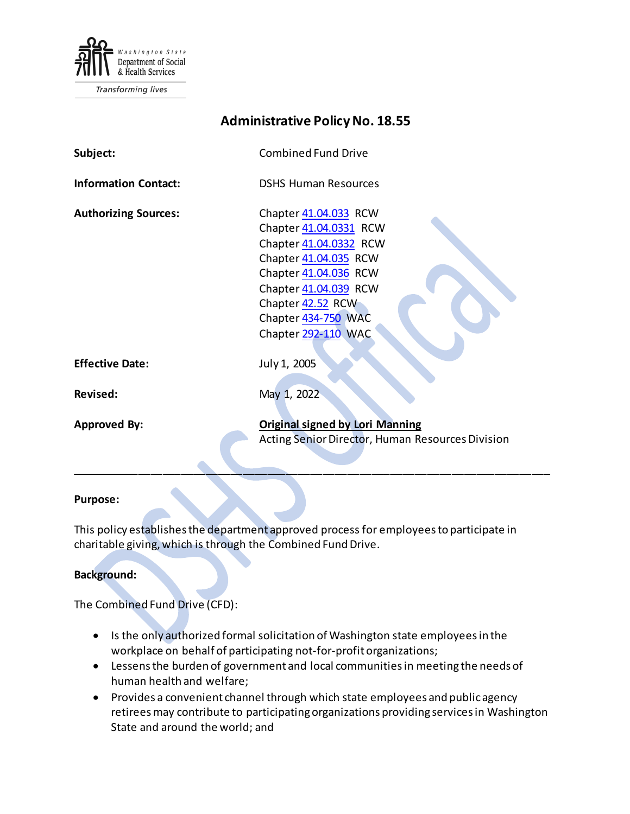

Transforming lives

<span id="page-0-0"></span>

| <b>Administrative Policy No. 18.55</b> |                                                                                                                                                                                                                         |
|----------------------------------------|-------------------------------------------------------------------------------------------------------------------------------------------------------------------------------------------------------------------------|
| Subject:                               | <b>Combined Fund Drive</b>                                                                                                                                                                                              |
| <b>Information Contact:</b>            | <b>DSHS Human Resources</b>                                                                                                                                                                                             |
| <b>Authorizing Sources:</b>            | Chapter 41.04.033 RCW<br>Chapter 41.04.0331 RCW<br>Chapter 41.04.0332 RCW<br>Chapter 41.04.035 RCW<br>Chapter 41.04.036 RCW<br>Chapter 41.04.039 RCW<br>Chapter 42.52 RCW<br>Chapter 434-750 WAC<br>Chapter 292-110 WAC |
| <b>Effective Date:</b>                 | July 1, 2005                                                                                                                                                                                                            |
| <b>Revised:</b>                        | May 1, 2022                                                                                                                                                                                                             |
| <b>Approved By:</b>                    | <b>Original signed by Lori Manning</b><br>Acting Senior Director, Human Resources Division                                                                                                                              |

#### **Purpose:**

This policy establishes the department approved process for employees to participate in charitable giving, which is through the Combined Fund Drive.

**Background:** 

The Combined Fund Drive (CFD):

- Is the only authorized formal solicitation of Washington state employees in the workplace on behalf of participating not-for-profit organizations;
- Lessensthe burden of government and local communities in meeting the needs of human health and welfare;
- Provides a convenient channel through which state employees and public agency retirees may contribute to participating organizations providing services in Washington State and around the world; and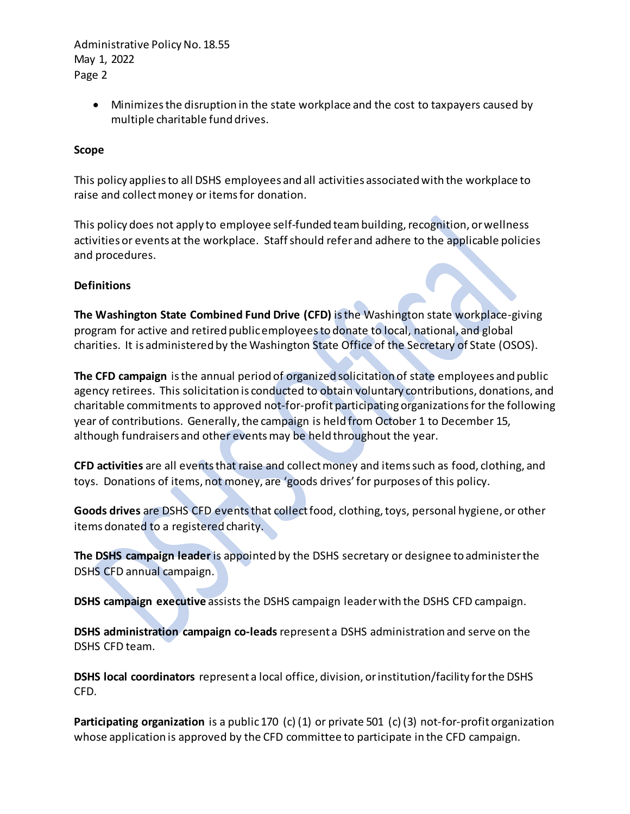> • Minimizes the disruption in the state workplace and the cost to taxpayers caused by multiple charitable fund drives.

### **Scope**

This policy applies to all DSHS employees and all activities associated with the workplace to raise and collect money or items for donation.

This policy does not apply to employee self-funded team building, recognition, or wellness activities or events at the workplace. Staff should refer and adhere to the applicable policies and procedures.

### **Definitions**

**The Washington State Combined Fund Drive (CFD)** is the Washington state workplace-giving program for active and retired public employees to donate to local, national, and global charities. It is administered by the Washington State Office of the Secretary of State (OSOS).

**The CFD campaign** isthe annual period of organized solicitation of state employees and public agency retirees. This solicitation is conducted to obtain voluntary contributions, donations, and charitable commitments to approved not-for-profit participating organizations for the following year of contributions. Generally, the campaign is held from October 1 to December 15, although fundraisers and other events may be held throughout the year.

**CFD activities** are all events that raise and collect money and items such as food, clothing, and toys. Donations of items, not money, are 'goods drives' for purposes of this policy.

**Goods drives** are DSHS CFD events that collect food, clothing, toys, personal hygiene, or other items donated to a registered charity.

**The DSHS campaign leader** is appointed by the DSHS secretary or designee to administer the DSHS CFD annual campaign.

**DSHS campaign executive** assists the DSHS campaign leader with the DSHS CFD campaign.

**DSHS administration campaign co-leads** represent a DSHS administration and serve on the DSHS CFD team.

**DSHS local coordinators** represent a local office, division, or institution/facility for the DSHS CFD.

**Participating organization** is a public 170 (c) (1) or private 501 (c) (3) not-for-profit organization whose application is approved by the CFD committee to participate in the CFD campaign.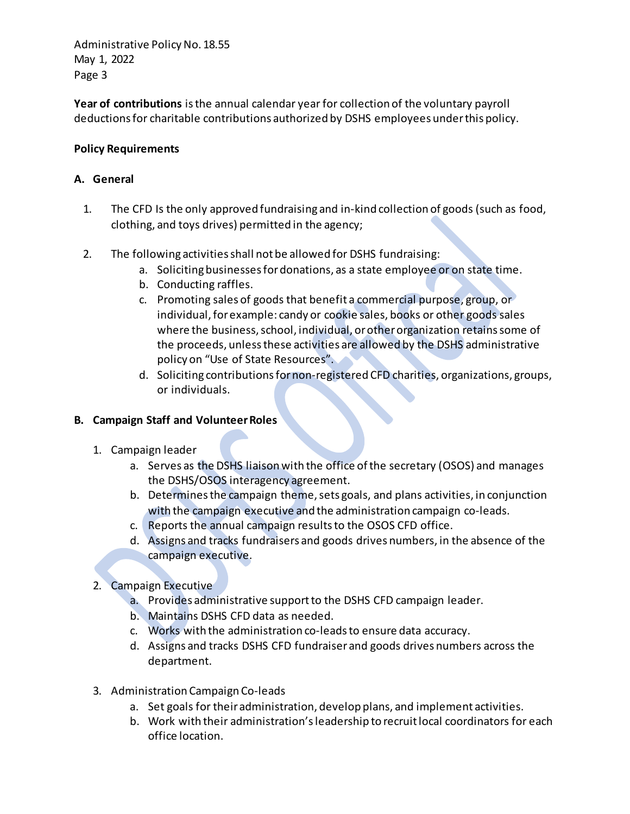**Year of contributions** isthe annual calendar year for collection of the voluntary payroll deductions for charitable contributions authorized by DSHS employees under this policy.

# **Policy Requirements**

# **A. General**

- 1. The CFD Is the only approved fundraising and in-kind collection of goods (such as food, clothing, and toys drives) permitted in the agency;
- 2. The following activities shall not be allowed for DSHS fundraising:
	- a. Soliciting businesses for donations, as a state employee or on state time.
	- b. Conducting raffles.
	- c. Promoting sales of goods that benefit a commercial purpose, group, or individual, for example: candy or cookie sales, books or other goods sales where the business, school, individual, or other organization retains some of the proceeds, unless these activities are allowed by the DSHS administrative policy on "Use of State Resources".
	- d. Soliciting contributions for non-registered CFD charities, organizations, groups, or individuals.

# **B. Campaign Staff and Volunteer Roles**

- 1. Campaign leader
	- a. Serves as the DSHS liaison with the office of the secretary (OSOS) and manages the DSHS/OSOS interagency agreement.
	- b. Determines the campaign theme, sets goals, and plans activities, in conjunction with the campaign executive and the administration campaign co-leads.
	- c. Reports the annual campaign results to the OSOS CFD office.
	- d. Assigns and tracks fundraisers and goods drives numbers, in the absence of the campaign executive.
- 2. Campaign Executive
	- a. Provides administrative support to the DSHS CFD campaign leader.
	- b. Maintains DSHS CFD data as needed.
	- c. Works with the administration co-leads to ensure data accuracy.
	- d. Assigns and tracks DSHS CFD fundraiser and goods drives numbers across the department.
- 3. Administration Campaign Co-leads
	- a. Set goals for their administration, develop plans, and implement activities.
	- b. Work with their administration's leadership to recruit local coordinators for each office location.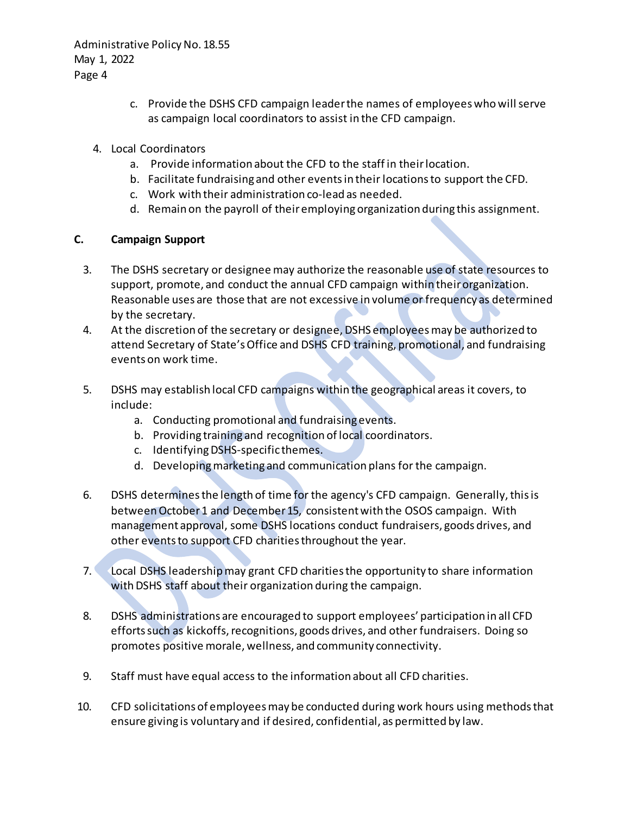- c. Provide the DSHS CFD campaign leader the names of employees who will serve as campaign local coordinators to assist in the CFD campaign.
- 4. Local Coordinators
	- a. Provide information about the CFD to the staff in their location.
	- b. Facilitate fundraising and other events in their locations to support the CFD.
	- c. Work with their administration co-lead as needed.
	- d. Remain on the payroll of theiremploying organization during this assignment.

# **C. Campaign Support**

- 3. The DSHS secretary or designee may authorize the reasonable use of state resources to support, promote, and conduct the annual CFD campaign within their organization. Reasonable uses are those that are not excessive in volume or frequency as determined by the secretary.
- 4. At the discretion of the secretary or designee, DSHS employees may be authorized to attend Secretary of State's Office and DSHS CFD training, promotional, and fundraising events on work time.
- 5. DSHS may establish local CFD campaigns within the geographical areas it covers, to include:
	- a. Conducting promotional and fundraising events.
	- b. Providing training and recognition of local coordinators.
	- c. Identifying DSHS-specific themes.
	- d. Developing marketing and communication plans for the campaign.
- 6. DSHS determinesthe length of time for the agency's CFD campaign. Generally,this is between October 1 and December 15, consistent with the OSOS campaign. With management approval, some DSHS locations conduct fundraisers, goods drives, and other events to support CFD charities throughout the year.
- 7. Local DSHS leadership may grant CFD charities the opportunity to share information with DSHS staff about their organization during the campaign.
- 8. DSHS administrations are encouraged to support employees' participation in all CFD efforts such as kickoffs, recognitions, goods drives, and other fundraisers. Doing so promotes positive morale, wellness, and community connectivity.
- 9. Staff must have equal access to the information about all CFD charities.
- 10. CFD solicitations of employees may be conducted during work hours using methods that ensure giving is voluntary and if desired, confidential, as permitted by law.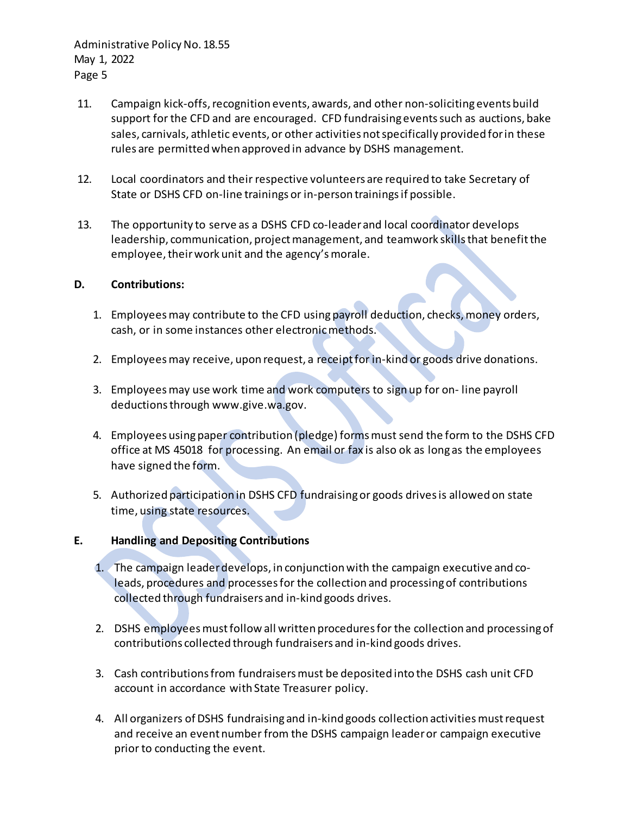- 11. Campaign kick-offs, recognition events, awards, and other non-soliciting events build support for the CFD and are encouraged. CFD fundraising eventssuch as auctions, bake sales, carnivals, athletic events, or other activities not specifically provided for in these rules are permitted when approved in advance by DSHS management.
- 12. Local coordinators and their respective volunteers are required to take Secretary of State or DSHS CFD on-line trainings or in-person trainings if possible.
- 13. The opportunity to serve as a DSHS CFD co-leader and local coordinator develops leadership, communication, project management, and teamwork skills that benefit the employee, their work unit and the agency's morale.

### **D. Contributions:**

- 1. Employees may contribute to the CFD using payroll deduction, checks, money orders, cash, or in some instances other electronic methods.
- 2. Employees may receive, upon request, a receipt for in-kind or goods drive donations.
- 3. Employees may use work time and work computers to sign up for on- line payroll deductions through www.give.wa.gov.
- 4. Employees using paper contribution (pledge) forms must send the form to the DSHS CFD office at MS 45018 for processing. An email or fax is also ok as long as the employees have signed the form.
- 5. Authorized participation in DSHS CFD fundraising or goods drives is allowed on state time, using state resources.

### **E. Handling and Depositing Contributions**

- 1. The campaign leaderdevelops, in conjunction with the campaign executive and coleads, procedures and processes for the collection and processing of contributions collected through fundraisers and in-kind goods drives.
- 2. DSHS employees must follow all written procedures for the collection and processing of contributions collected through fundraisers and in-kind goods drives.
- 3. Cash contributions from fundraisers must be deposited into the DSHS cash unit CFD account in accordance with State Treasurer policy.
- 4. All organizers of DSHS fundraising and in-kind goods collection activities must request and receive an event number from the DSHS campaign leader or campaign executive prior to conducting the event.